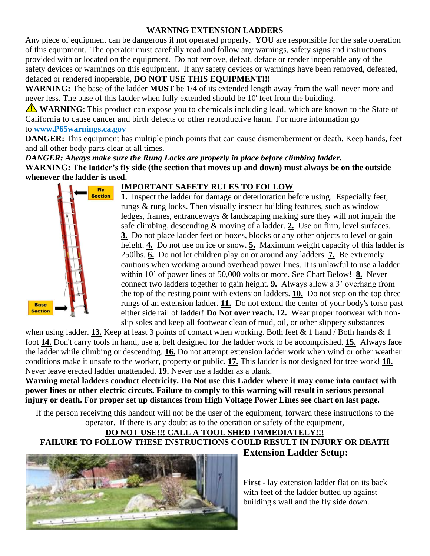#### **WARNING EXTENSION LADDERS**

Any piece of equipment can be dangerous if not operated properly. **YOU** are responsible for the safe operation of this equipment. The operator must carefully read and follow any warnings, safety signs and instructions provided with or located on the equipment. Do not remove, defeat, deface or render inoperable any of the safety devices or warnings on this equipment. If any safety devices or warnings have been removed, defeated, defaced or rendered inoperable, **DO NOT USE THIS EQUIPMENT!!!**

**WARNING:** The base of the ladder **MUST** be 1/4 of its extended length away from the wall never more and never less. The base of this ladder when fully extended should be 10' feet from the building.

**WARNING**: This product can expose you to chemicals including lead, which are known to the State of California to cause cancer and birth defects or other reproductive harm. For more information go to **[www.P65warnings.ca.gov](http://www.p65warnings.ca.gov/)**

**DANGER:** This equipment has multiple pinch points that can cause dismemberment or death. Keep hands, feet and all other body parts clear at all times.

*DANGER: Always make sure the Rung Locks are properly in place before climbing ladder.*

**WARNING: The ladder's fly side (the section that moves up and down) must always be on the outside whenever the ladder is used.** 

# Fly **Section Base Section**

### **IMPORTANT SAFETY RULES TO FOLLOW**

**1.** Inspect the ladder for damage or deterioration before using. Especially feet, rungs & rung locks. Then visually inspect building features, such as window ledges, frames, entranceways & landscaping making sure they will not impair the safe climbing, descending & moving of a ladder. **2.** Use on firm, level surfaces. **3.** Do not place ladder feet on boxes, blocks or any other objects to level or gain height. **4.** Do not use on ice or snow. **5.** Maximum weight capacity of this ladder is 250lbs. **6.** Do not let children play on or around any ladders. **7.** Be extremely cautious when working around overhead power lines. It is unlawful to use a ladder within 10' of power lines of 50,000 volts or more. See Chart Below! **8.** Never connect two ladders together to gain height. **9.** Always allow a 3' overhang from the top of the resting point with extension ladders. **10.** Do not step on the top three rungs of an extension ladder. **11.** Do not extend the center of your body's torso past either side rail of ladder! **Do Not over reach. 12.** Wear proper footwear with nonslip soles and keep all footwear clean of mud, oil, or other slippery substances

when using ladder. **13.** Keep at least 3 points of contact when working. Both feet & 1 hand / Both hands & 1 foot **14.** Don't carry tools in hand, use a, belt designed for the ladder work to be accomplished. **15.** Always face the ladder while climbing or descending. **16.** Do not attempt extension ladder work when wind or other weather conditions make it unsafe to the worker, property or public. **17.** This ladder is not designed for tree work! **18.** Never leave erected ladder unattended. **19.** Never use a ladder as a plank.

**Warning metal ladders conduct electricity. Do Not use this Ladder where it may come into contact with power lines or other electric circuts. Failure to comply to this warning will result in serious personal injury or death. For proper set up distances from High Voltage Power Lines see chart on last page.**

If the person receiving this handout will not be the user of the equipment, forward these instructions to the operator. If there is any doubt as to the operation or safety of the equipment,

## **DO NOT USE!!! CALL A TOOL SHED IMMEDIATELY!!!**

### **FAILURE TO FOLLOW THESE INSTRUCTIONS COULD RESULT IN INJURY OR DEATH**



**First** - lay extension ladder flat on its back with feet of the ladder butted up against building's wall and the fly side down.

**Extension Ladder Setup:**